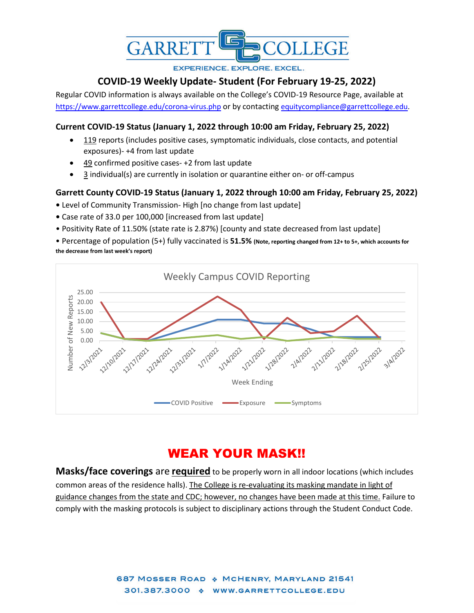

**EXPERIENCE. EXPLORE. EXCEL.** 

## **COVID-19 Weekly Update- Student (For February 19-25, 2022)**

Regular COVID information is always available on the College's COVID-19 Resource Page, available at <https://www.garrettcollege.edu/corona-virus.php> or by contacting [equitycompliance@garrettcollege.edu.](mailto:equitycompliance@garrettcollege.edu)

## **Current COVID-19 Status (January 1, 2022 through 10:00 am Friday, February 25, 2022)**

- $\bullet$  119 reports (includes positive cases, symptomatic individuals, close contacts, and potential exposures)- +4 from last update
- 49 confirmed positive cases- +2 from last update
- 3 individual(s) are currently in isolation or quarantine either on- or off-campus

## **Garrett County COVID-19 Status (January 1, 2022 through 10:00 am Friday, February 25, 2022)**

- Level of Community Transmission- High [no change from last update]
- Case rate of 33.0 per 100,000 [increased from last update]
- Positivity Rate of 11.50% (state rate is 2.87%) [county and state decreased from last update]

• Percentage of population (5+) fully vaccinated is **51.5% (Note, reporting changed from 12+ to 5+, which accounts for the decrease from last week's report)**



# WEAR YOUR MASK!!

**Masks/face coverings** are **required** to be properly worn in all indoor locations (which includes common areas of the residence halls). The College is re-evaluating its masking mandate in light of guidance changes from the state and CDC; however, no changes have been made at this time. Failure to comply with the masking protocols is subject to disciplinary actions through the Student Conduct Code.

> 687 MOSSER ROAD \* MCHENRY, MARYLAND 21541 301.387.3000 \* WWW.GARRETTCOLLEGE.EDU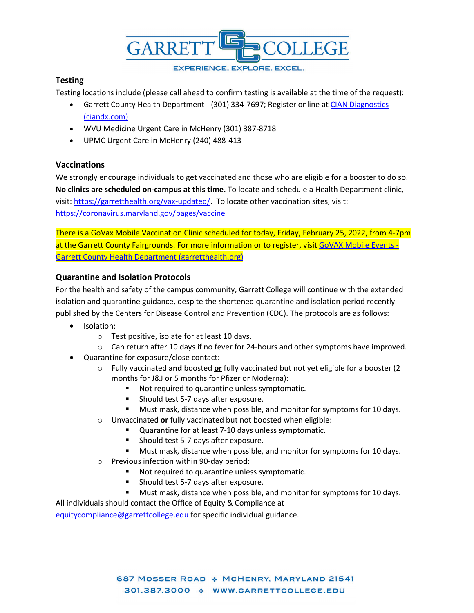

#### **EXPERIENCE. EXPLORE. EXCEL.**

## **Testing**

Testing locations include (please call ahead to confirm testing is available at the time of the request):

- Garrett County Health Department (301) 334-7697; Register online at CIAN Diagnostics [\(ciandx.com\)](https://portal.ciandx.com/register?team=garrett_county_hd)
- WVU Medicine Urgent Care in McHenry (301) 387-8718
- UPMC Urgent Care in McHenry (240) 488-413

## **Vaccinations**

We strongly encourage individuals to get vaccinated and those who are eligible for a booster to do so. **No clinics are scheduled on-campus at this time.** To locate and schedule a Health Department clinic, visit[: https://garretthealth.org/vax-updated/.](https://garretthealth.org/vax-updated/) To locate other vaccination sites, visit: <https://coronavirus.maryland.gov/pages/vaccine>

There is a GoVax Mobile Vaccination Clinic scheduled for today, Friday, February 25, 2022, from 4-7pm at the Garrett County Fairgrounds. For more information or to register, visit [GoVAX Mobile Events -](https://garretthealth.org/govax-mobile-events/) [Garrett County Health Department \(garretthealth.org\)](https://garretthealth.org/govax-mobile-events/)

## **Quarantine and Isolation Protocols**

For the health and safety of the campus community, Garrett College will continue with the extended isolation and quarantine guidance, despite the shortened quarantine and isolation period recently published by the Centers for Disease Control and Prevention (CDC). The protocols are as follows:

- Isolation:
	- o Test positive, isolate for at least 10 days.
	- o Can return after 10 days if no fever for 24-hours and other symptoms have improved.
- Quarantine for exposure/close contact:
	- o Fully vaccinated **and** boosted **or** fully vaccinated but not yet eligible for a booster (2 months for J&J or 5 months for Pfizer or Moderna):
		- Not required to quarantine unless symptomatic.
		- **Should test 5-7 days after exposure.**
		- Must mask, distance when possible, and monitor for symptoms for 10 days.
	- o Unvaccinated **or** fully vaccinated but not boosted when eligible:
		- Quarantine for at least 7-10 days unless symptomatic.
			- **Should test 5-7 days after exposure.**
			- **Must mask, distance when possible, and monitor for symptoms for 10 days.**
	- o Previous infection within 90-day period:
		- Not required to quarantine unless symptomatic.
		- **Should test 5-7 days after exposure.**
		- Must mask, distance when possible, and monitor for symptoms for 10 days.

All individuals should contact the Office of Equity & Compliance at

[equitycompliance@garrettcollege.edu](mailto:equitycompliance@garrettcollege.edu) for specific individual guidance.